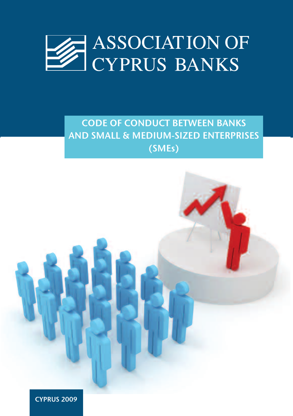

# **CODE OF CONDUCT BETWEEN BANKS AND SMALL & MEDIUM-SIZED ENTERPRISES (SMEs)**

**CYPRUS 2009**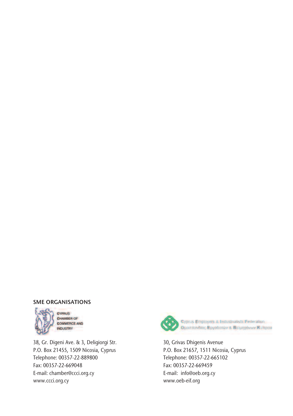### **SME ORGANISATIONS**



**CYPRUS** CHAMBER OF **COMMERCE AND INDUSTRY** 

38, Gr. Digeni Ave. & 3, Deligiorgi Str. P.O. Box 21455, 1509 Nicosia, Cyprus Telephone: 00357-22-889800 Fax: 00357-22-669048 E-mail: chamber@ccci.org.cy www.ccci.org.cy



30, Grivas Dhigenis Avenue P.O. Box 21657, 1511 Nicosia, Cyprus Telephone: 00357-22-665102 Fax: 00357-22-669459 E-mail: info@oeb.org.cy www.oeb-eif.org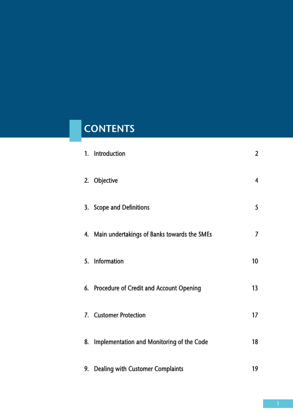# **CONTENTS**

| 1. Introduction                                | $\overline{2}$          |
|------------------------------------------------|-------------------------|
| 2. Objective                                   | $\overline{\mathbf{4}}$ |
| 3. Scope and Definitions                       | 5                       |
| 4. Main undertakings of Banks towards the SMEs | $\overline{7}$          |
| 5. Information                                 | 10 <sup>°</sup>         |
| 6. Procedure of Credit and Account Opening     | 13                      |
| 7. Customer Protection                         | 17                      |
| 8. Implementation and Monitoring of the Code   | 18                      |
| 9. Dealing with Customer Complaints            | 19                      |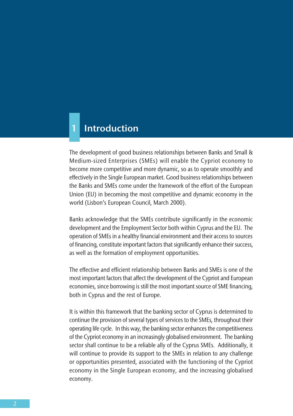### **1 Introduction**

The development of good business relationships between Banks and Small & Medium-sized Enterprises (SMEs) will enable the Cypriot economy to become more competitive and more dynamic, so as to operate smoothly and effectively in the Single European market. Good business relationships between the Banks and SMEs come under the framework of the effort of the European Union (EU) in becoming the most competitive and dynamic economy in the world (Lisbon's European Council, March 2000).

Banks acknowledge that the SMEs contribute significantly in the economic development and the Employment Sector both within Cyprus and the EU. The operation of SMEs in a healthy financial environment and their access to sources of financing, constitute important factors that significantly enhance their success, as well as the formation of employment opportunities.

The effective and efficient relationship between Banks and SMEs is one of the most important factors that affect the development of the Cypriot and European economies, since borrowing is still the most important source of SME financing, both in Cyprus and the rest of Europe.

It is within this framework that the banking sector of Cyprus is determined to continue the provision of several types of services to the SMEs, throughout their operating life cycle. In this way, the banking sector enhances the competitiveness of the Cypriot economy in an increasingly globalised environment. The banking sector shall continue to be a reliable ally of the Cyprus SMEs. Additionally, it will continue to provide its support to the SMEs in relation to any challenge or opportunities presented, associated with the functioning of the Cypriot economy in the Single European economy, and the increasing globalised economy.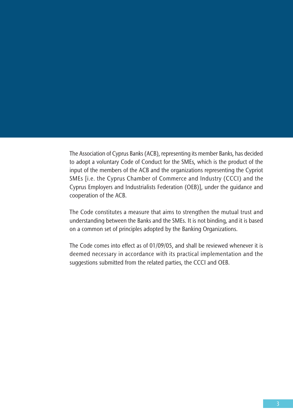The Association of Cyprus Banks (ACB), representing its member Banks, has decided to adopt a voluntary Code of Conduct for the SMEs, which is the product of the input of the members of the ACB and the organizations representing the Cypriot SMEs [i.e. the Cyprus Chamber of Commerce and Industry (CCCI) and the Cyprus Employers and Industrialists Federation (OEB)], under the guidance and cooperation of the ACB.

The Code constitutes a measure that aims to strengthen the mutual trust and understanding between the Banks and the SMEs. It is not binding, and it is based on a common set of principles adopted by the Banking Organizations.

The Code comes into effect as of 01/09/05, and shall be reviewed whenever it is deemed necessary in accordance with its practical implementation and the suggestions submitted from the related parties, the CCCI and OEB.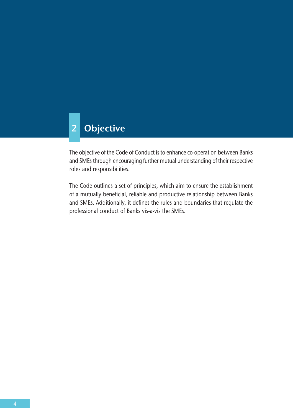# **2 Objective**

The objective of the Code of Conduct is to enhance co-operation between Banks and SMEs through encouraging further mutual understanding of their respective roles and responsibilities.

The Code outlines a set of principles, which aim to ensure the establishment of a mutually beneficial, reliable and productive relationship between Banks and SMEs. Additionally, it defines the rules and boundaries that regulate the professional conduct of Banks vis-a-vis the SMEs.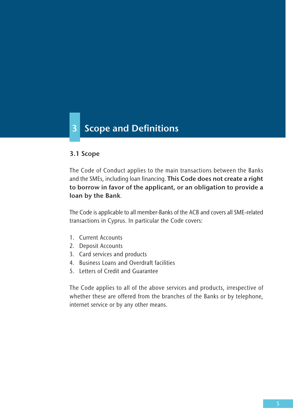# **3 Scope and Definitions**

### **3.1 Scope**

The Code of Conduct applies to the main transactions between the Banks and the SMEs, including loan financing. **This Code does not create a right to borrow in favor of the applicant, or an obligation to provide a loan by the Bank**.

The Code is applicable to all member-Banks of the ACB and covers all SME–related transactions in Cyprus. In particular the Code covers:

- 1. Current Accounts
- 2. Deposit Accounts
- 3. Card services and products
- 4. Business Loans and Overdraft facilities
- 5. Letters of Credit and Guarantee

The Code applies to all of the above services and products, irrespective of whether these are offered from the branches of the Banks or by telephone, internet service or by any other means.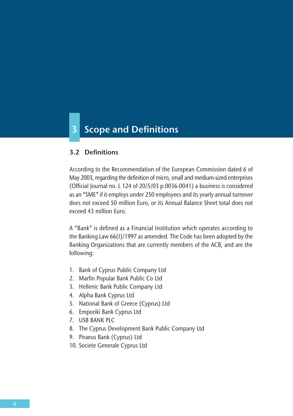# **3 Scope and Definitions**

#### **3.2 Definitions**

According to the Recommendation of the European Commission dated 6 of May 2003, regarding the definition of micro, small and medium-sized enterprises (Official Journal no. L 124 of 20/5/03 p.0036-0041) a business is considered as an "SME" if it employs under 250 employees and its yearly annual turnover does not exceed 50 million Euro, or its Annual Balance Sheet total does not exceed 43 million Euro.

A "Bank" is defined as a Financial Institution which operates according to the Banking Law 66(I)/1997 as amended. The Code has been adopted by the Banking Organizations that are currently members of the ACB, and are the following:

- 1. Bank of Cyprus Public Company Ltd
- 2. Marfin Popular Bank Public Co Ltd
- 3. Hellenic Bank Public Company Ltd
- 4. Alpha Bank Cyprus Ltd
- 5. National Bank of Greece (Cyprus) Ltd
- 6. Emporiki Bank Cyprus Ltd
- 7. USB BANK PLC
- 8. The Cyprus Development Bank Public Company Ltd
- 9. Piraeus Bank (Cyprus) Ltd
- 10. Societe Generale Cyprus Ltd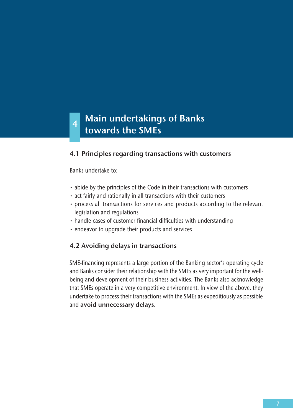### **Main undertakings of Banks towards the SMEs <sup>4</sup>**

### **4.1 Principles regarding transactions with customers**

Banks undertake to:

- abide by the principles of the Code in their transactions with customers
- act fairly and rationally in all transactions with their customers
- process all transactions for services and products according to the relevant legislation and regulations
- handle cases of customer financial difficulties with understanding
- endeavor to upgrade their products and services

### **4.2 Avoiding delays in transactions**

SME-financing represents a large portion of the Banking sector's operating cycle and Banks consider their relationship with the SMEs as very important for the wellbeing and development of their business activities. The Banks also acknowledge that SMEs operate in a very competitive environment. In view of the above, they undertake to process their transactions with the SMEs as expeditiously as possible and **avoid unnecessary delays**.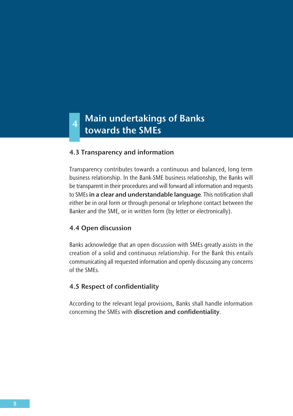### **Main undertakings of Banks towards the SMEs <sup>4</sup>**

### **4.3 Transparency and information**

Transparency contributes towards a continuous and balanced, long term business relationship. In the Bank-SME business relationship, the Banks will be transparent in their procedures and will forward all information and requests to SMEs **in a clear and understandable language**. This notification shall either be in oral form or through personal or telephone contact between the Banker and the SME, or in written form (by letter or electronically).

#### **4.4 Open discussion**

Banks acknowledge that an open discussion with SMEs greatly assists in the creation of a solid and continuous relationship. For the Bank this entails communicating all requested information and openly discussing any concerns of the SMEs.

### **4.5 Respect of confidentiality**

According to the relevant legal provisions, Banks shall handle information concerning the SMEs with **discretion and confidentiality**.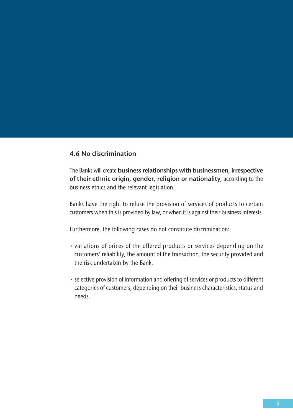### **4.6 No discrimination**

The Banks will create **business relationships with businessmen, irrespective of their ethnic origin, gender, religion or nationality**, according to the business ethics and the relevant legislation.

Banks have the right to refuse the provision of services of products to certain customers when this is provided by law, or when it is against their business interests.

Furthermore, the following cases do not constitute discrimination:

- variations of prices of the offered products or services depending on the customers' reliability, the amount of the transaction, the security provided and the risk undertaken by the Bank.
- selective provision of information and offering of services or products to different categories of customers, depending on their business characteristics, status and needs.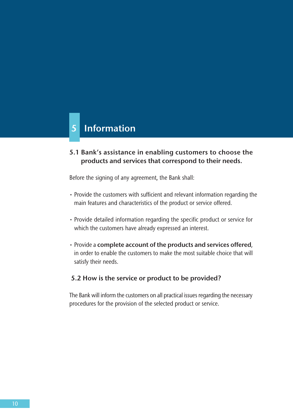### **5 Information**

### **5.1 Bank's assistance in enabling customers to choose the products and services that correspond to their needs.**

Before the signing of any agreement, the Bank shall:

- Provide the customers with sufficient and relevant information regarding the main features and characteristics of the product or service offered.
- Provide detailed information regarding the specific product or service for which the customers have already expressed an interest.
- ñ Provide a **complete account of the products and services offered**, in order to enable the customers to make the most suitable choice that will satisfy their needs.

### **5.2 How is the service or product to be provided?**

The Bank will inform the customers on all practical issues regarding the necessary procedures for the provision of the selected product or service.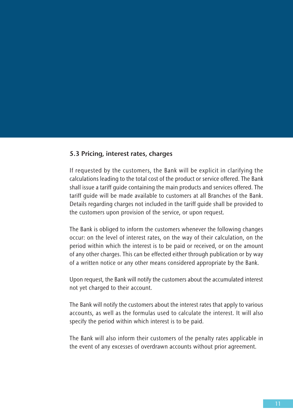#### **5.3 Pricing, interest rates, charges**

If requested by the customers, the Bank will be explicit in clarifying the calculations leading to the total cost of the product or service offered. The Bank shall issue a tariff guide containing the main products and services offered. The tariff guide will be made available to customers at all Branches of the Bank. Details regarding charges not included in the tariff guide shall be provided to the customers upon provision of the service, or upon request.

The Bank is obliged to inform the customers whenever the following changes occur: on the level of interest rates, on the way of their calculation, on the period within which the interest is to be paid or received, or on the amount of any other charges. This can be effected either through publication or by way of a written notice or any other means considered appropriate by the Bank.

Upon request, the Bank will notify the customers about the accumulated interest not yet charged to their account.

The Bank will notify the customers about the interest rates that apply to various accounts, as well as the formulas used to calculate the interest. It will also specify the period within which interest is to be paid.

The Bank will also inform their customers of the penalty rates applicable in the event of any excesses of overdrawn accounts without prior agreement.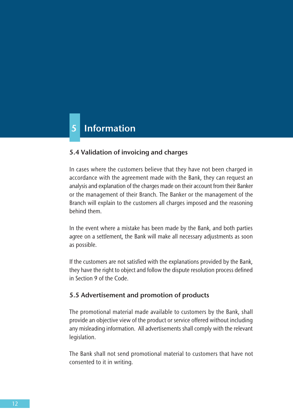# **5 Information**

### **5.4 Validation of invoicing and charges**

In cases where the customers believe that they have not been charged in accordance with the agreement made with the Bank, they can request an analysis and explanation of the charges made on their account from their Banker or the management of their Branch. The Banker or the management of the Branch will explain to the customers all charges imposed and the reasoning behind them.

In the event where a mistake has been made by the Bank, and both parties agree on a settlement, the Bank will make all necessary adjustments as soon as possible.

If the customers are not satisfied with the explanations provided by the Bank, they have the right to object and follow the dispute resolution process defined in Section 9 of the Code.

#### **5.5 Advertisement and promotion of products**

The promotional material made available to customers by the Bank, shall provide an objective view of the product or service offered without including any misleading information. All advertisements shall comply with the relevant legislation.

The Bank shall not send promotional material to customers that have not consented to it in writing.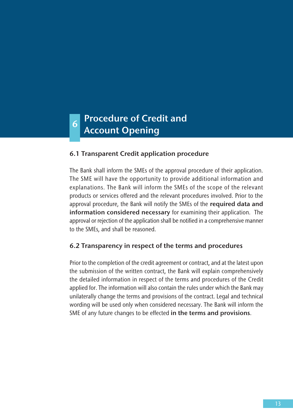# **Procedure of Credit and Account Opening 6**

### **6.1 Transparent Credit application procedure**

The Bank shall inform the SMEs of the approval procedure of their application. The SME will have the opportunity to provide additional information and explanations. The Bank will inform the SMEs of the scope of the relevant products or services offered and the relevant procedures involved. Prior to the approval procedure, the Bank will notify the SMEs of the **required data and information considered necessary** for examining their application. The approval or rejection of the application shall be notified in a comprehensive manner to the SMEs, and shall be reasoned.

### **6.2 Transparency in respect of the terms and procedures**

Prior to the completion of the credit agreement or contract, and at the latest upon the submission of the written contract, the Bank will explain comprehensively the detailed information in respect of the terms and procedures of the Credit applied for. The information will also contain the rules under which the Bank may unilaterally change the terms and provisions of the contract. Legal and technical wording will be used only when considered necessary. The Bank will inform the SME of any future changes to be effected **in the terms and provisions**.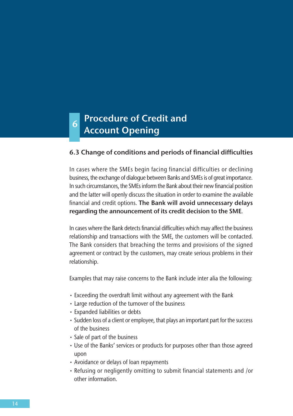# **Procedure of Credit and 6** Procedure of Cred<br>**Account Opening**

### **6.3 Change of conditions and periods of financial difficulties**

In cases where the SMEs begin facing financial difficulties or declining business, the exchange of dialogue between Banks and SMEs is of great importance. In such circumstances, the SMEs inform the Bank about their new financial position and the latter will openly discuss the situation in order to examine the available financial and credit options. **The Bank will avoid unnecessary delays regarding the announcement of its credit decision to the SME**.

In cases where the Bank detects financial difficulties which may affect the business relationship and transactions with the SME, the customers will be contacted. The Bank considers that breaching the terms and provisions of the signed agreement or contract by the customers, may create serious problems in their relationship.

Examples that may raise concerns to the Bank include inter alia the following:

- Exceeding the overdraft limit without any agreement with the Bank
- Large reduction of the turnover of the business
- Expanded liabilities or debts
- Sudden loss of a client or employee, that plays an important part for the success of the business
- Sale of part of the business
- Use of the Banks' services or products for purposes other than those agreed upon
- Avoidance or delays of loan repayments
- Refusing or negligently omitting to submit financial statements and /or other information.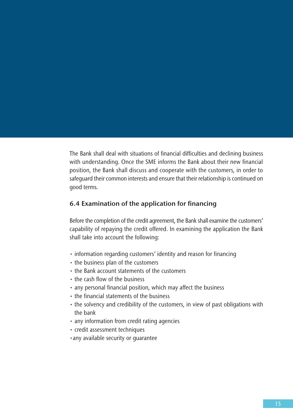The Bank shall deal with situations of financial difficulties and declining business with understanding. Once the SME informs the Bank about their new financial position, the Bank shall discuss and cooperate with the customers, in order to safeguard their common interests and ensure that their relationship is continued on good terms.

### **6.4 Examination of the application for financing**

Before the completion of the credit agreement, the Bank shall examine the customers' capability of repaying the credit offered. In examining the application the Bank shall take into account the following:

- $\cdot$  information regarding customers' identity and reason for financing
- $\cdot$  the business plan of the customers
- $\cdot$  the Bank account statements of the customers
- $\cdot$  the cash flow of the business
- any personal financial position, which may affect the business
- the financial statements of the business
- $\cdot$  the solvency and credibility of the customers, in view of past obligations with the bank
- $\cdot$  any information from credit rating agencies
- credit assessment techniques
- any available security or quarantee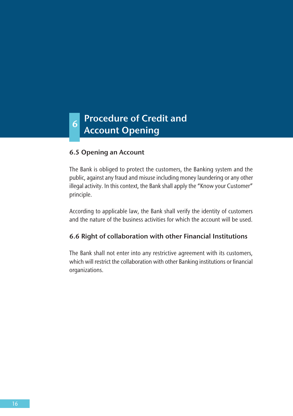### **Procedure of Credit and 6** Account Opening

### **6.5 Opening an Account**

The Bank is obliged to protect the customers, the Banking system and the public, against any fraud and misuse including money laundering or any other illegal activity. In this context, the Bank shall apply the "Know your Customer" principle.

According to applicable law, the Bank shall verify the identity of customers and the nature of the business activities for which the account will be used.

### **6.6 Right of collaboration with other Financial Institutions**

The Bank shall not enter into any restrictive agreement with its customers, which will restrict the collaboration with other Banking institutions or financial organizations.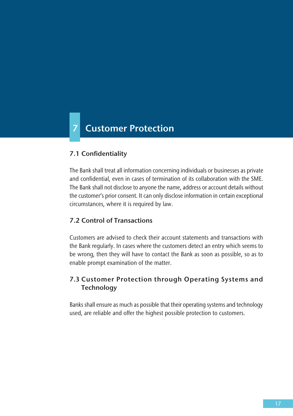# **7 Customer Protection**

### **7.1 Confidentiality**

The Bank shall treat all information concerning individuals or businesses as private and confidential, even in cases of termination of its collaboration with the SME. The Bank shall not disclose to anyone the name, address or account details without the customer's prior consent. It can only disclose information in certain exceptional circumstances, where it is required by law.

### **7.2 Control of Transactions**

Customers are advised to check their account statements and transactions with the Bank regularly. In cases where the customers detect an entry which seems to be wrong, then they will have to contact the Bank as soon as possible, so as to enable prompt examination of the matter.

### **7.3 Customer Protection through Operating Systems and Technology**

Banks shall ensure as much as possible that their operating systems and technology used, are reliable and offer the highest possible protection to customers.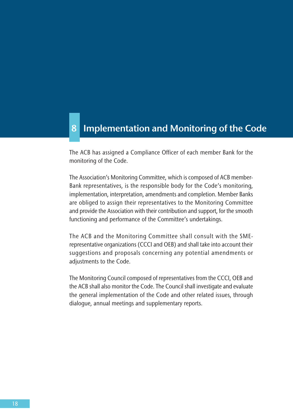### **8 Implementation and Monitoring of the Code**

The ACB has assigned a Compliance Officer of each member Bank for the monitoring of the Code.

The Association's Monitoring Committee, which is composed of ACB member-Bank representatives, is the responsible body for the Code's monitoring, implementation, interpretation, amendments and completion. Member Banks are obliged to assign their representatives to the Monitoring Committee and provide the Association with their contribution and support, for the smooth functioning and performance of the Committee's undertakings.

The ACB and the Monitoring Committee shall consult with the SMErepresentative organizations (CCCI and OEB) and shall take into account their suggestions and proposals concerning any potential amendments or adjustments to the Code.

The Monitoring Council composed of representatives from the CCCI, OEB and the ACB shall also monitor the Code. The Council shall investigate and evaluate the general implementation of the Code and other related issues, through dialogue, annual meetings and supplementary reports.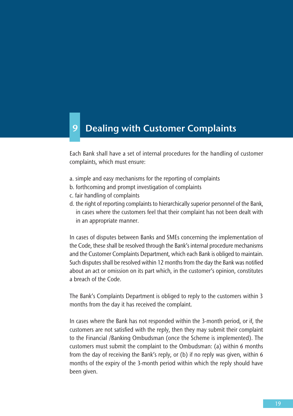### **9 Dealing with Customer Complaints**

Each Bank shall have a set of internal procedures for the handling of customer complaints, which must ensure:

- a. simple and easy mechanisms for the reporting of complaints
- b. forthcoming and prompt investigation of complaints
- c. fair handling of complaints
- d. the right of reporting complaints to hierarchically superior personnel of the Bank, in cases where the customers feel that their complaint has not been dealt with in an appropriate manner.

In cases of disputes between Banks and SMEs concerning the implementation of the Code, these shall be resolved through the Bank's internal procedure mechanisms and the Customer Complaints Department, which each Bank is obliged to maintain. Such disputes shall be resolved within 12 months from the day the Bank was notified about an act or omission on its part which, in the customer's opinion, constitutes a breach of the Code.

The Bank's Complaints Department is obliged to reply to the customers within 3 months from the day it has received the complaint.

In cases where the Bank has not responded within the 3-month period, or if, the customers are not satisfied with the reply, then they may submit their complaint to the Financial /Banking Ombudsman (once the Scheme is implemented). The customers must submit the complaint to the Ombudsman: (a) within 6 months from the day of receiving the Bank's reply, or (b) if no reply was given, within 6 months of the expiry of the 3-month period within which the reply should have been given.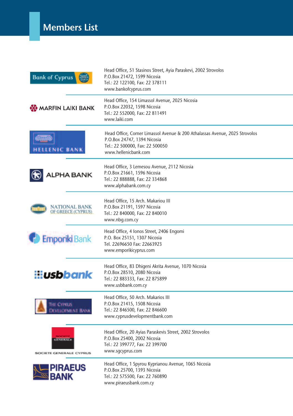| <b>Bank of Cyprus</b>               | Head Office, 51 Stasinos Street, Ayia Paraskevi, 2002 Strovolos<br>P.O.Box 21472, 1599 Nicosia<br>Tel.: 22 122100, Fax: 22 378111<br>www.bankofcyprus.com             |
|-------------------------------------|-----------------------------------------------------------------------------------------------------------------------------------------------------------------------|
| <b>OG</b> MARFIN LAIKI BANK         | Head Office, 154 Limassol Avenue, 2025 Nicosia<br>P.O.Box 22032, 1598 Nicosia<br>Tel.: 22 552000, Fax: 22 811491<br>www.laiki.com                                     |
| <b>LENIC BANK</b>                   | Head Office, Corner Limassol Avenue & 200 Athalassas Avenue, 2025 Strovolos<br>P.O.Box 24747, 1394 Nicosia<br>Tel.: 22 500000, Fax: 22 500050<br>www.hellenicbank.com |
| <b>ALPHA BANK</b>                   | Head Office, 3 Lemesou Avenue, 2112 Nicosia<br>P.O.Box 21661, 1596 Nicosia<br>Tel.: 22 888888, Fax: 22 334868<br>www.alphabank.com.cy                                 |
| NATIONAL BANK<br>OF GREECE (CYPRUS) | Head Office, 15 Arch. Makariou III<br>P.O.Box 21191, 1597 Nicosia<br>Tel.: 22 840000, Fax: 22 840010<br>www.nbg.com.cy                                                |
| <b>Emporiki Bank</b>                | Head Office, 4 Ionos Street, 2406 Engomi<br>P.O. Box 25151, 1307 Nicosia<br>Tel. 22696650 Fax: 22663923<br>www.emporikicyprus.com                                     |
| i:i <b>usbbank</b>                  | Head Office, 83 Dhigeni Akrita Avenue, 1070 Nicosia<br>P.O.Box 28510, 2080 Nicosia<br>Tel.: 22 883333, Fax: 22 875899<br>www.usbbank.com.cy                           |
| THE CYPRUS<br>EVELOPMENT BANK       | Head Office, 50 Arch. Makarios III<br>P.O.Box 21415, 1508 Nicosia<br>Tel.: 22 846500, Fax: 22 846600<br>www.cyprusdevelopmentbank.com                                 |
| <b>SOCIETE GENERALE CYPRUS</b>      | Head Office, 20 Ayias Paraskevis Street, 2002 Strovolos<br>P.O.Box 25400, 2002 Nicosia<br>Tel.: 22 399777, Fax: 22 399700<br>www.sqcyprus.com                         |
|                                     | Head Office, 1 Spyrou Kyprianou Avenue, 1065 Nicosia<br>P.O.Box 25700, 1393 Nicosia<br>Tel.: 22 575500, Fax: 22 760890<br>www.piraeusbank.com.cy                      |